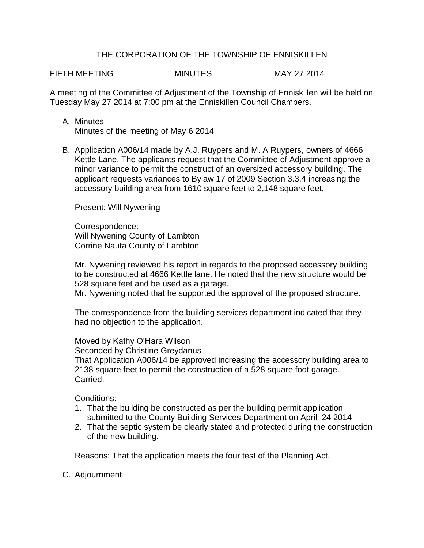## THE CORPORATION OF THE TOWNSHIP OF ENNISKILLEN

FIFTH MEETING MINUTES MAY 27 2014

A meeting of the Committee of Adjustment of the Township of Enniskillen will be held on Tuesday May 27 2014 at 7:00 pm at the Enniskillen Council Chambers.

- A. Minutes Minutes of the meeting of May 6 2014
- B. Application A006/14 made by A.J. Ruypers and M. A Ruypers, owners of 4666 Kettle Lane. The applicants request that the Committee of Adjustment approve a minor variance to permit the construct of an oversized accessory building. The applicant requests variances to Bylaw 17 of 2009 Section 3.3.4 increasing the accessory building area from 1610 square feet to 2,148 square feet.

Present: Will Nywening

Correspondence: Will Nywening County of Lambton Corrine Nauta County of Lambton

Mr. Nywening reviewed his report in regards to the proposed accessory building to be constructed at 4666 Kettle lane. He noted that the new structure would be 528 square feet and be used as a garage.

Mr. Nywening noted that he supported the approval of the proposed structure.

The correspondence from the building services department indicated that they had no objection to the application.

Moved by Kathy O'Hara Wilson

Seconded by Christine Greydanus

That Application A006/14 be approved increasing the accessory building area to 2138 square feet to permit the construction of a 528 square foot garage. Carried.

Conditions:

- 1. That the building be constructed as per the building permit application submitted to the County Building Services Department on April 24 2014
- 2. That the septic system be clearly stated and protected during the construction of the new building.

Reasons: That the application meets the four test of the Planning Act.

C. Adjournment